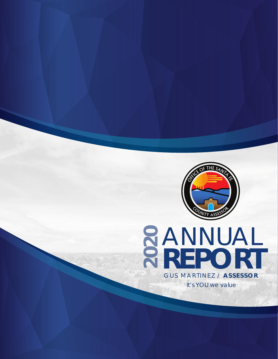

# **2ANNUAL<br>2REPORT REPORT** GUS MARTINEZ / **ASSESSOR** *It's YOU we value*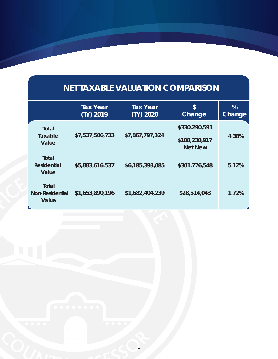#### **INET TAXABLE VALUATION COMPARISON NET TAXABLE VALUATION COMPARISON**

|                                             | <b>Tax Year</b><br>$(TY)$ 2019 | <b>Tax Year</b><br>(TY) 2020 | \$<br>Change                                     | %<br>Change |
|---------------------------------------------|--------------------------------|------------------------------|--------------------------------------------------|-------------|
| Total<br>Taxable<br>Value                   | \$7,537,506,733                | \$7,867,797,324              | \$330,290,591<br>\$100,230,917<br><b>Net New</b> | 4.38%       |
| <b>Total</b><br><b>Residential</b><br>Value | \$5,883,616,537                | \$6,185,393,085              | \$301,776,548                                    | 5.12%       |
| Total<br><b>Non-Residential</b><br>Value    | \$1,653,890,196                | \$1,682,404,239              | \$28,514,043                                     | 1.72%       |
|                                             |                                |                              |                                                  |             |

COUNTY AND RESSS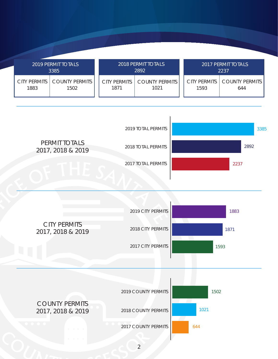|      | 2019 PERMIT TOTALS<br>3385            | 2018 PERMIT TOTALS<br>2892 |                               | <b>2017 PERMIT TOTALS</b><br>2237 |                                      |  |
|------|---------------------------------------|----------------------------|-------------------------------|-----------------------------------|--------------------------------------|--|
| 1883 | CITY PERMITS   COUNTY PERMITS<br>1502 | CITY PERMITS<br>1871       | <b>COUNTY PERMITS</b><br>1021 | 1593                              | CITY PERMITS   COUNTY PERMITS<br>644 |  |

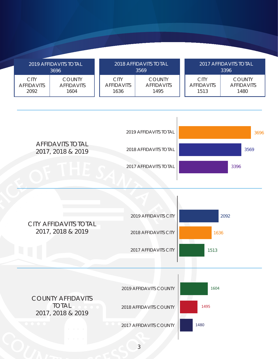|                                          | 2019 AFFIDAVITS TOTAL<br>3696              | 2018 AFFIDAVITS TOTAL<br>3569     |                                            | 2017 AFFIDAVITS TOTAL<br>3396            |                                            |  |
|------------------------------------------|--------------------------------------------|-----------------------------------|--------------------------------------------|------------------------------------------|--------------------------------------------|--|
| <b>CITY</b><br><b>AFFIDAVITS</b><br>2092 | <b>COUNTY</b><br><b>AFFIDAVITS</b><br>1604 | CITY<br><b>AFFIDAVITS</b><br>1636 | <b>COUNTY</b><br><b>AFFIDAVITS</b><br>1495 | <b>CITY</b><br><b>AFFIDAVITS</b><br>1513 | <b>COUNTY</b><br><b>AFFIDAVITS</b><br>1480 |  |



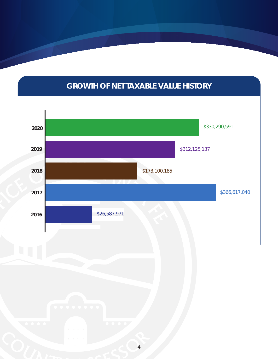## **CHANGE OF NET TAXABLE VALUE HISTORY GROWTH OF NET TAXABLE VALUE HISTORY**

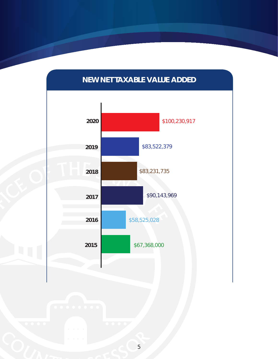

### **NEW NET TAXABLE VALUE ADDED**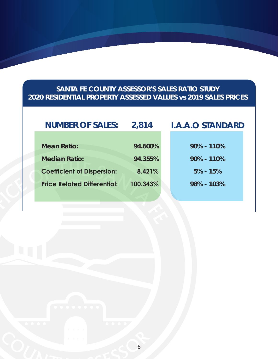#### **SANTA FE COUNTY ASSESSOR'S SALES RATIO STUDY 2020 RESIDENTIAL PROPERTY ASSESSED VALUES vs 2019 SALES PRICES**

## Coefficient of Dispersion: 8.421%<br>Price Related Differential: 100.343% **NUMBER OF SALES: 2,814 I.A.A.O STANDARD Mean Ratio: 94.600% Median Ratio: 94.355% Coefficient of Dispersion: 8.421% Price Related Differential: 100.343% 90% - 110% 90% - 110% 5% - 15% 98% - 103%**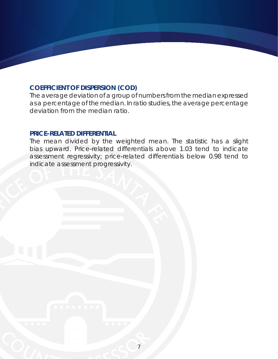#### **COEFFICIENT OF DISPERSION (COD)**

The average deviation of a group of numbers from the median expressed as a percentage of the median. In ratio studies, the average percentage deviation from the median ratio.

#### **PRICE-RELATED DIFFERENTIAL**

indicate assessment progressivity.<br>
OFFICE OF THE SANTA FEDERAL FEDERAL FEDERAL FEDERAL FEDERAL FEDERAL FEDERAL FEDERAL FEDERAL FEDERAL FEDERAL FEDERAL FEDERAL FEDERAL FEDERAL FEDERAL FEDERAL FEDERAL FEDERAL FEDERAL FEDERA The mean divided by the weighted mean. The statistic has a slight bias upward. Price-related differentials above 1.03 tend to indicate assessment regressivity; price-related differentials below 0.98 tend to indicate assessment progressivity.